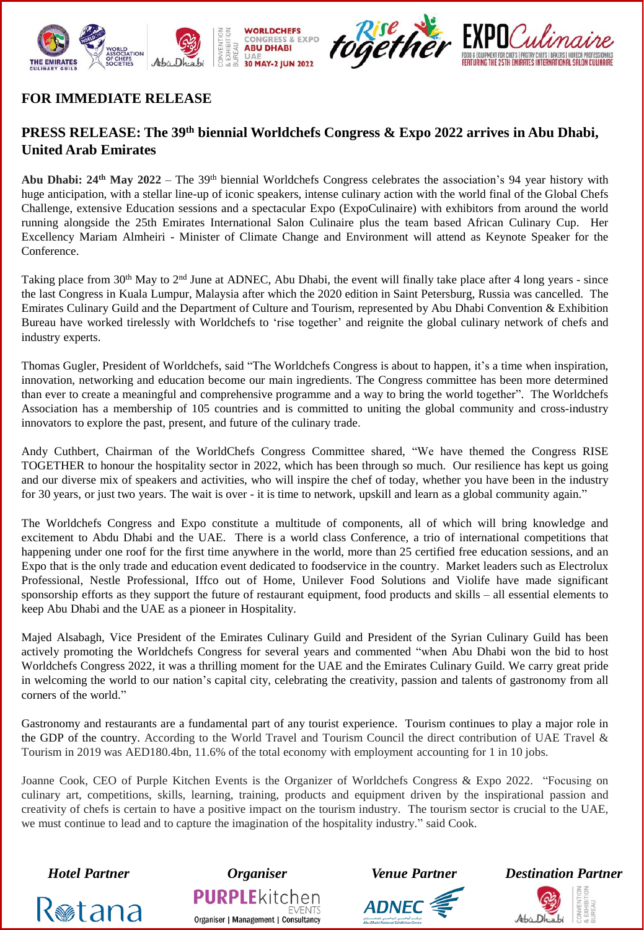



## **FOR IMMEDIATE RELEASE**

# **PRESS RELEASE: The 39th biennial Worldchefs Congress & Expo 2022 arrives in Abu Dhabi, United Arab Emirates**

**Abu Dhabi: 24th May 2022** – The 39th biennial Worldchefs Congress celebrates the association's 94 year history with huge anticipation, with a stellar line-up of iconic speakers, intense culinary action with the world final of the Global Chefs Challenge, extensive Education sessions and a spectacular Expo (ExpoCulinaire) with exhibitors from around the world running alongside the 25th Emirates International Salon Culinaire plus the team based African Culinary Cup. Her Excellency Mariam Almheiri - Minister of Climate Change and Environment will attend as Keynote Speaker for the Conference.

Taking place from 30<sup>th</sup> May to  $2<sup>nd</sup>$  June at ADNEC, Abu Dhabi, the event will finally take place after 4 long years - since the last Congress in Kuala Lumpur, Malaysia after which the 2020 edition in Saint Petersburg, Russia was cancelled. The Emirates Culinary Guild and the Department of Culture and Tourism, represented by Abu Dhabi Convention & Exhibition Bureau have worked tirelessly with Worldchefs to 'rise together' and reignite the global culinary network of chefs and industry experts.

Thomas Gugler, President of Worldchefs, said "The Worldchefs Congress is about to happen, it's a time when inspiration, innovation, networking and education become our main ingredients. The Congress committee has been more determined than ever to create a meaningful and comprehensive programme and a way to bring the world together". The Worldchefs Association has a membership of 105 countries and is committed to uniting the global community and cross-industry innovators to explore the past, present, and future of the culinary trade.

Andy Cuthbert, Chairman of the WorldChefs Congress Committee shared, "We have themed the Congress RISE TOGETHER to honour the hospitality sector in 2022, which has been through so much. Our resilience has kept us going and our diverse mix of speakers and activities, who will inspire the chef of today, whether you have been in the industry for 30 years, or just two years. The wait is over - it is time to network, upskill and learn as a global community again."

The Worldchefs Congress and Expo constitute a multitude of components, all of which will bring knowledge and excitement to Abdu Dhabi and the UAE. There is a world class Conference, a trio of international competitions that happening under one roof for the first time anywhere in the world, more than 25 certified free education sessions, and an Expo that is the only trade and education event dedicated to foodservice in the country. Market leaders such as Electrolux Professional, Nestle Professional, Iffco out of Home, Unilever Food Solutions and Violife have made significant sponsorship efforts as they support the future of restaurant equipment, food products and skills – all essential elements to keep Abu Dhabi and the UAE as a pioneer in Hospitality.

Majed Alsabagh, Vice President of the Emirates Culinary Guild and President of the Syrian Culinary Guild has been actively promoting the Worldchefs Congress for several years and commented "when Abu Dhabi won the bid to host Worldchefs Congress 2022, it was a thrilling moment for the UAE and the Emirates Culinary Guild. We carry great pride in welcoming the world to our nation's capital city, celebrating the creativity, passion and talents of gastronomy from all corners of the world."

Gastronomy and restaurants are a fundamental part of any tourist experience. Tourism continues to play a major role in the GDP of the country. According to the World Travel and Tourism Council the direct contribution of UAE Travel & Tourism in 2019 was AED180.4bn, 11.6% of the total economy with employment accounting for 1 in 10 jobs.

Joanne Cook, CEO of Purple Kitchen Events is the Organizer of Worldchefs Congress & Expo 2022. "Focusing on culinary art, competitions, skills, learning, training, products and equipment driven by the inspirational passion and creativity of chefs is certain to have a positive impact on the tourism industry. The tourism sector is crucial to the UAE, we must continue to lead and to capture the imagination of the hospitality industry." said Cook.